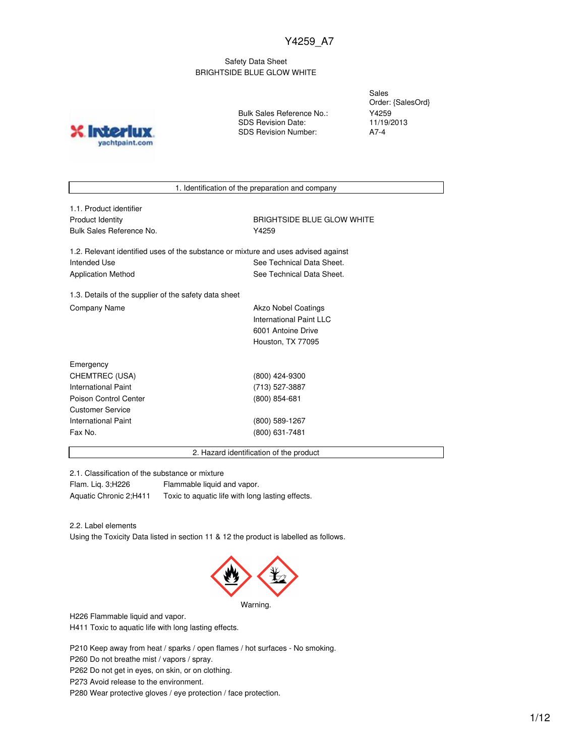## Safety Data Sheet BRIGHTSIDE BLUE GLOW WHITE

**Inter** yachtpaint.com Bulk Sales Reference No.: SDS Revision Date: SDS Revision Number:

Sales Order: {SalesOrd} Y4259 11/19/2013 A7-4

1. Identification of the preparation and company

| 1.1. Product identifier  |
|--------------------------|
| Product Identity         |
| Bulk Sales Reference No. |

**BRIGHTSIDE BLUE GLOW WHITE** Y4259

1.2. Relevant identified uses of the substance or mixture and uses advised against Intended Use **See Technical Data Sheet.** See Technical Data Sheet. Application Method **See Technical Data Sheet.** 

1.3. Details of the supplier of the safety data sheet Company Name **Akzo Nobel Coatings** Company Name

International Paint LLC 6001 Antoine Drive Houston, TX 77095

| Emergency               |                 |
|-------------------------|-----------------|
| CHEMTREC (USA)          | (800) 424-9300  |
| International Paint     | (713) 527-3887  |
| Poison Control Center   | $(800)$ 854-681 |
| <b>Customer Service</b> |                 |
| International Paint     | (800) 589-1267  |
| Fax No.                 | (800) 631-7481  |
|                         |                 |

2. Hazard identification of the product

2.1. Classification of the substance or mixture

Flam. Liq. 3;H226 Flammable liquid and vapor. Aquatic Chronic 2;H411 Toxic to aquatic life with long lasting effects.

2.2. Label elements

Using the Toxicity Data listed in section 11 & 12 the product is labelled as follows.



Warning.

H226 Flammable liquid and vapor.

H411 Toxic to aquatic life with long lasting effects.

P210 Keep away from heat / sparks / open flames / hot surfaces - No smoking.

P260 Do not breathe mist / vapors / spray.

P262 Do not get in eyes, on skin, or on clothing.

P273 Avoid release to the environment.

P280 Wear protective gloves / eye protection / face protection.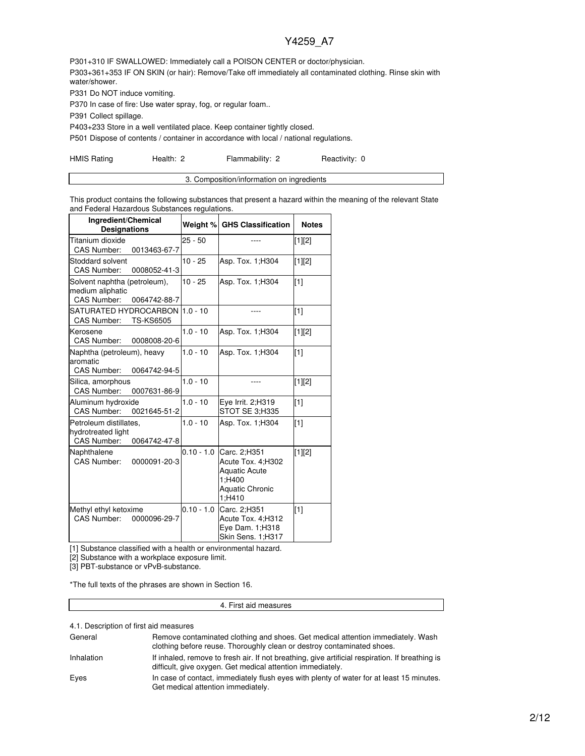P301+310 IF SWALLOWED: Immediately call a POISON CENTER or doctor/physician. P303+361+353 IF ON SKIN (or hair): Remove/Take off immediately all contaminated clothing. Rinse skin with water/shower.

P331 Do NOT induce vomiting.

P370 In case of fire: Use water spray, fog, or regular foam..

P391 Collect spillage.

P403+233 Store in a well ventilated place. Keep container tightly closed.

P501 Dispose of contents / container in accordance with local / national regulations.

HMIS Rating **Health: 2** Flammability: 2 Reactivity: 0

This product contains the following substances that present a hazard within the meaning of the relevant State and Federal Hazardous Substances regulations.

| Ingredient/Chemical<br><b>Designations</b>                                         | Weight %     | <b>GHS Classification</b>                                                                        | <b>Notes</b> |
|------------------------------------------------------------------------------------|--------------|--------------------------------------------------------------------------------------------------|--------------|
| Titanium dioxide<br>CAS Number:<br>0013463-67-7                                    | $25 - 50$    |                                                                                                  | [1][2]       |
| Stoddard solvent<br><b>CAS Number:</b><br>0008052-41-3                             | $10 - 25$    | Asp. Tox. 1; H304                                                                                | $[1][2]$     |
| Solvent naphtha (petroleum),<br>medium aliphatic<br>CAS Number:<br>0064742-88-7    | $10 - 25$    | Asp. Tox. 1; H304                                                                                | [1]          |
| SATURATED HYDROCARBON  1.0 - 10<br><b>TS-KS6505</b><br><b>CAS Number:</b>          |              |                                                                                                  | $\sqrt{11}$  |
| Kerosene<br><b>CAS Number:</b><br>0008008-20-6                                     | $1.0 - 10$   | Asp. Tox. 1; H304                                                                                | [1][2]       |
| Naphtha (petroleum), heavy<br>aromatic<br>CAS Number:<br>0064742-94-5              | $1.0 - 10$   | Asp. Tox. 1; H304                                                                                | [1]          |
| Silica, amorphous<br><b>CAS Number:</b><br>0007631-86-9                            | $1.0 - 10$   | ----                                                                                             | [1][2]       |
| Aluminum hydroxide<br><b>CAS Number:</b><br>0021645-51-2                           | $1.0 - 10$   | Eye Irrit. 2;H319<br>STOT SE 3;H335                                                              | [1]          |
| Petroleum distillates.<br>hydrotreated light<br><b>CAS Number:</b><br>0064742-47-8 | $1.0 - 10$   | Asp. Tox. 1; H304                                                                                | $\sqrt{11}$  |
| Naphthalene<br><b>CAS Number:</b><br>0000091-20-3                                  | $0.10 - 1.0$ | Carc. 2;H351<br>Acute Tox. 4;H302<br><b>Aquatic Acute</b><br>1:H400<br>Aquatic Chronic<br>1:H410 | [1][2]       |
| Methyl ethyl ketoxime<br>CAS Number:<br>0000096-29-7                               | $0.10 - 1.0$ | Carc. 2;H351<br>Acute Tox. 4;H312<br>Eye Dam. 1;H318<br>Skin Sens. 1;H317                        | $\sqrt{11}$  |

[1] Substance classified with a health or environmental hazard.

[2] Substance with a workplace exposure limit.

[3] PBT-substance or vPvB-substance.

\*The full texts of the phrases are shown in Section 16.

#### 4. First aid measures

4.1. Description of first aid measures

| General    | Remove contaminated clothing and shoes. Get medical attention immediately. Wash<br>clothing before reuse. Thoroughly clean or destroy contaminated shoes.     |
|------------|---------------------------------------------------------------------------------------------------------------------------------------------------------------|
| Inhalation | If inhaled, remove to fresh air. If not breathing, give artificial respiration. If breathing is<br>difficult, give oxygen. Get medical attention immediately. |
| Eyes       | In case of contact, immediately flush eyes with plenty of water for at least 15 minutes.<br>Get medical attention immediately.                                |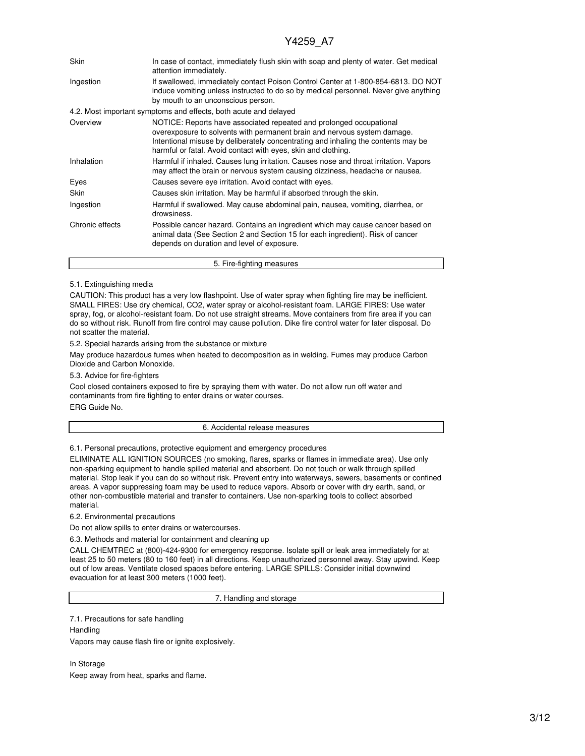| Skin            | In case of contact, immediately flush skin with soap and plenty of water. Get medical<br>attention immediately.                                                                                                                                                                                       |  |  |  |  |  |
|-----------------|-------------------------------------------------------------------------------------------------------------------------------------------------------------------------------------------------------------------------------------------------------------------------------------------------------|--|--|--|--|--|
| Ingestion       | If swallowed, immediately contact Poison Control Center at 1-800-854-6813. DO NOT<br>induce vomiting unless instructed to do so by medical personnel. Never give anything<br>by mouth to an unconscious person.                                                                                       |  |  |  |  |  |
|                 | 4.2. Most important symptoms and effects, both acute and delayed                                                                                                                                                                                                                                      |  |  |  |  |  |
| Overview        | NOTICE: Reports have associated repeated and prolonged occupational<br>overexposure to solvents with permanent brain and nervous system damage.<br>Intentional misuse by deliberately concentrating and inhaling the contents may be<br>harmful or fatal. Avoid contact with eyes, skin and clothing. |  |  |  |  |  |
| Inhalation      | Harmful if inhaled. Causes lung irritation. Causes nose and throat irritation. Vapors<br>may affect the brain or nervous system causing dizziness, headache or nausea.                                                                                                                                |  |  |  |  |  |
| Eyes            | Causes severe eye irritation. Avoid contact with eyes.                                                                                                                                                                                                                                                |  |  |  |  |  |
| Skin            | Causes skin irritation. May be harmful if absorbed through the skin.                                                                                                                                                                                                                                  |  |  |  |  |  |
| Ingestion       | Harmful if swallowed. May cause abdominal pain, nausea, vomiting, diarrhea, or<br>drowsiness.                                                                                                                                                                                                         |  |  |  |  |  |
| Chronic effects | Possible cancer hazard. Contains an ingredient which may cause cancer based on<br>animal data (See Section 2 and Section 15 for each ingredient). Risk of cancer<br>depends on duration and level of exposure.                                                                                        |  |  |  |  |  |
|                 | 5. Fire-fighting measures                                                                                                                                                                                                                                                                             |  |  |  |  |  |

### 5.1. Extinguishing media

CAUTION: This product has a very low flashpoint. Use of water spray when fighting fire may be inefficient. SMALL FIRES: Use dry chemical, CO2, water spray or alcohol-resistant foam. LARGE FIRES: Use water spray, fog, or alcohol-resistant foam. Do not use straight streams. Move containers from fire area if you can do so without risk. Runoff from fire control may cause pollution. Dike fire control water for later disposal. Do not scatter the material.

5.2. Special hazards arising from the substance or mixture

May produce hazardous fumes when heated to decomposition as in welding. Fumes may produce Carbon Dioxide and Carbon Monoxide.

5.3. Advice for fire-fighters

Cool closed containers exposed to fire by spraying them with water. Do not allow run off water and contaminants from fire fighting to enter drains or water courses. ERG Guide No.

#### 6. Accidental release measures

6.1. Personal precautions, protective equipment and emergency procedures

ELIMINATE ALL IGNITION SOURCES (no smoking, flares, sparks or flames in immediate area). Use only non-sparking equipment to handle spilled material and absorbent. Do not touch or walk through spilled material. Stop leak if you can do so without risk. Prevent entry into waterways, sewers, basements or confined areas. A vapor suppressing foam may be used to reduce vapors. Absorb or cover with dry earth, sand, or other non-combustible material and transfer to containers. Use non-sparking tools to collect absorbed material.

6.2. Environmental precautions

Do not allow spills to enter drains or watercourses.

6.3. Methods and material for containment and cleaning up

CALL CHEMTREC at (800)-424-9300 for emergency response. Isolate spill or leak area immediately for at least 25 to 50 meters (80 to 160 feet) in all directions. Keep unauthorized personnel away. Stay upwind. Keep out of low areas. Ventilate closed spaces before entering. LARGE SPILLS: Consider initial downwind evacuation for at least 300 meters (1000 feet).

7. Handling and storage

7.1. Precautions for safe handling

**Handling** Vapors may cause flash fire or ignite explosively.

In Storage Keep away from heat, sparks and flame.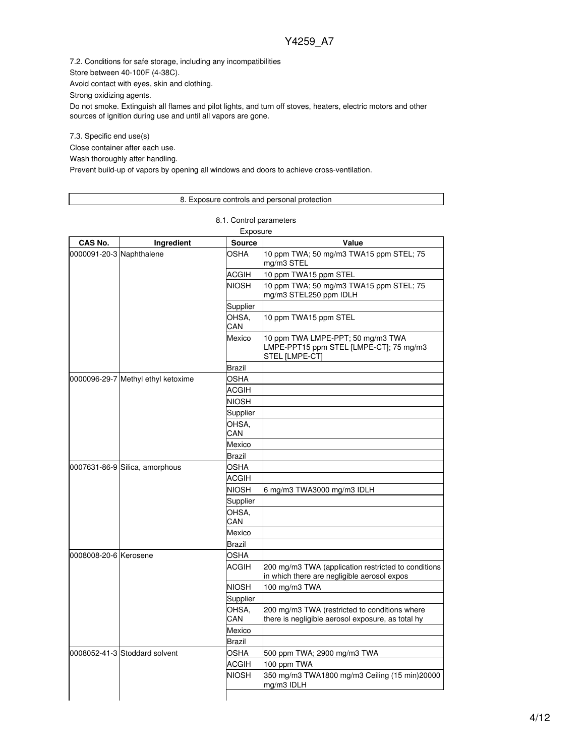7.2. Conditions for safe storage, including any incompatibilities

Store between 40-100F (4-38C).

Avoid contact with eyes, skin and clothing.

Strong oxidizing agents.

Do not smoke. Extinguish all flames and pilot lights, and turn off stoves, heaters, electric motors and other sources of ignition during use and until all vapors are gone.

7.3. Specific end use(s)

Close container after each use.

Wash thoroughly after handling.

Prevent build-up of vapors by opening all windows and doors to achieve cross-ventilation.

## 8. Exposure controls and personal protection

8.1. Control parameters

| Exposure                 |                                    |               |                                                                                                    |  |  |  |
|--------------------------|------------------------------------|---------------|----------------------------------------------------------------------------------------------------|--|--|--|
| CAS No.                  | Ingredient                         | <b>Source</b> | Value                                                                                              |  |  |  |
| 0000091-20-3 Naphthalene |                                    | OSHA          | 10 ppm TWA; 50 mg/m3 TWA15 ppm STEL; 75<br>mg/m3 STEL                                              |  |  |  |
|                          |                                    | ACGIH         | 10 ppm TWA15 ppm STEL                                                                              |  |  |  |
|                          |                                    | <b>NIOSH</b>  | 10 ppm TWA; 50 mg/m3 TWA15 ppm STEL; 75<br>mg/m3 STEL250 ppm IDLH                                  |  |  |  |
|                          |                                    | Supplier      |                                                                                                    |  |  |  |
|                          |                                    | OHSA.<br>CAN  | 10 ppm TWA15 ppm STEL                                                                              |  |  |  |
|                          |                                    | Mexico        | 10 ppm TWA LMPE-PPT; 50 mg/m3 TWA<br>LMPE-PPT15 ppm STEL [LMPE-CT]; 75 mg/m3<br>STEL [LMPE-CT]     |  |  |  |
|                          |                                    | Brazil        |                                                                                                    |  |  |  |
|                          | 0000096-29-7 Methyl ethyl ketoxime | <b>OSHA</b>   |                                                                                                    |  |  |  |
|                          |                                    | <b>ACGIH</b>  |                                                                                                    |  |  |  |
|                          |                                    | NIOSH         |                                                                                                    |  |  |  |
|                          |                                    | Supplier      |                                                                                                    |  |  |  |
|                          |                                    | OHSA,<br>CAN  |                                                                                                    |  |  |  |
|                          |                                    | Mexico        |                                                                                                    |  |  |  |
|                          |                                    | Brazil        |                                                                                                    |  |  |  |
|                          | 0007631-86-9 Silica, amorphous     | OSHA          |                                                                                                    |  |  |  |
|                          |                                    | <b>ACGIH</b>  |                                                                                                    |  |  |  |
|                          |                                    | NIOSH         | 6 mg/m3 TWA3000 mg/m3 IDLH                                                                         |  |  |  |
|                          |                                    | Supplier      |                                                                                                    |  |  |  |
|                          |                                    | OHSA.<br>CAN  |                                                                                                    |  |  |  |
|                          |                                    | Mexico        |                                                                                                    |  |  |  |
|                          |                                    | Brazil        |                                                                                                    |  |  |  |
| 0008008-20-6 Kerosene    |                                    | <b>OSHA</b>   |                                                                                                    |  |  |  |
|                          |                                    | <b>ACGIH</b>  | 200 mg/m3 TWA (application restricted to conditions<br>in which there are negligible aerosol expos |  |  |  |
|                          |                                    | <b>NIOSH</b>  | 100 mg/m3 TWA                                                                                      |  |  |  |
|                          |                                    | Supplier      |                                                                                                    |  |  |  |
|                          |                                    | OHSA,<br>CAN  | 200 mg/m3 TWA (restricted to conditions where<br>there is negligible aerosol exposure, as total hy |  |  |  |
|                          |                                    | Mexico        |                                                                                                    |  |  |  |
|                          |                                    | Brazil        |                                                                                                    |  |  |  |
|                          | 0008052-41-3 Stoddard solvent      | OSHA          | 500 ppm TWA; 2900 mg/m3 TWA                                                                        |  |  |  |
|                          |                                    | ACGIH         | 100 ppm TWA                                                                                        |  |  |  |
|                          |                                    | <b>NIOSH</b>  | 350 mg/m3 TWA1800 mg/m3 Ceiling (15 min)20000<br>mg/m3 IDLH                                        |  |  |  |
|                          |                                    |               |                                                                                                    |  |  |  |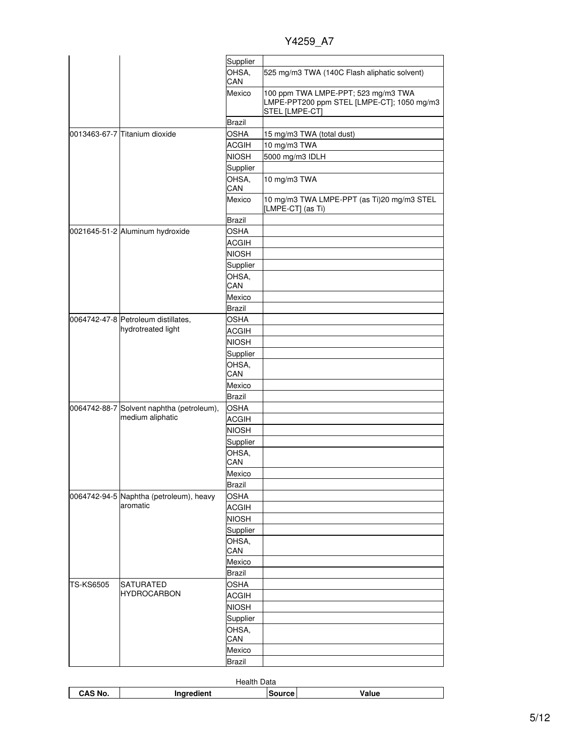Y4259\_A7

|                  |                                           | Supplier      |                                                                                                     |
|------------------|-------------------------------------------|---------------|-----------------------------------------------------------------------------------------------------|
|                  |                                           | OHSA,<br>CAN  | 525 mg/m3 TWA (140C Flash aliphatic solvent)                                                        |
|                  |                                           | Mexico        | 100 ppm TWA LMPE-PPT; 523 mg/m3 TWA<br>LMPE-PPT200 ppm STEL [LMPE-CT]; 1050 mg/m3<br>STEL [LMPE-CT] |
|                  |                                           | <b>Brazil</b> |                                                                                                     |
|                  | 0013463-67-7 Titanium dioxide             | <b>OSHA</b>   | 15 mg/m3 TWA (total dust)                                                                           |
|                  |                                           | <b>ACGIH</b>  | 10 mg/m3 TWA                                                                                        |
|                  |                                           | <b>NIOSH</b>  | 5000 mg/m3 IDLH                                                                                     |
|                  |                                           | Supplier      |                                                                                                     |
|                  |                                           | OHSA,         | 10 mg/m3 TWA                                                                                        |
|                  |                                           | CAN           |                                                                                                     |
|                  |                                           | Mexico        | 10 mg/m3 TWA LMPE-PPT (as Ti)20 mg/m3 STEL<br>[LMPE-CT] (as Ti)                                     |
|                  |                                           | Brazil        |                                                                                                     |
|                  | 0021645-51-2 Aluminum hydroxide           | <b>OSHA</b>   |                                                                                                     |
|                  |                                           | <b>ACGIH</b>  |                                                                                                     |
|                  |                                           | <b>NIOSH</b>  |                                                                                                     |
|                  |                                           | Supplier      |                                                                                                     |
|                  |                                           | OHSA,         |                                                                                                     |
|                  |                                           | CAN           |                                                                                                     |
|                  |                                           | Mexico        |                                                                                                     |
|                  |                                           | <b>Brazil</b> |                                                                                                     |
|                  | 0064742-47-8 Petroleum distillates,       | <b>OSHA</b>   |                                                                                                     |
|                  | hydrotreated light                        | <b>ACGIH</b>  |                                                                                                     |
|                  |                                           | <b>NIOSH</b>  |                                                                                                     |
|                  |                                           | Supplier      |                                                                                                     |
|                  |                                           | OHSA,<br>CAN  |                                                                                                     |
|                  |                                           | Mexico        |                                                                                                     |
|                  |                                           | <b>Brazil</b> |                                                                                                     |
|                  | 0064742-88-7 Solvent naphtha (petroleum), | <b>OSHA</b>   |                                                                                                     |
|                  | medium aliphatic                          | <b>ACGIH</b>  |                                                                                                     |
|                  |                                           | <b>NIOSH</b>  |                                                                                                     |
|                  |                                           | Supplier      |                                                                                                     |
|                  |                                           | OHSA,         |                                                                                                     |
|                  |                                           | CAN           |                                                                                                     |
|                  |                                           | Mexico        |                                                                                                     |
|                  |                                           | <b>Brazil</b> |                                                                                                     |
|                  | 0064742-94-5 Naphtha (petroleum), heavy   | <b>OSHA</b>   |                                                                                                     |
|                  | aromatic                                  | <b>ACGIH</b>  |                                                                                                     |
|                  |                                           | <b>NIOSH</b>  |                                                                                                     |
|                  |                                           | Supplier      |                                                                                                     |
|                  |                                           | OHSA,         |                                                                                                     |
|                  |                                           | CAN           |                                                                                                     |
|                  |                                           | Mexico        |                                                                                                     |
|                  | <b>SATURATED</b>                          | <b>Brazil</b> |                                                                                                     |
| <b>TS-KS6505</b> | <b>HYDROCARBON</b>                        | <b>OSHA</b>   |                                                                                                     |
|                  |                                           | <b>ACGIH</b>  |                                                                                                     |
|                  |                                           | <b>NIOSH</b>  |                                                                                                     |
|                  |                                           | Supplier      |                                                                                                     |
|                  |                                           | OHSA,<br>CAN  |                                                                                                     |
|                  |                                           | Mexico        |                                                                                                     |
|                  |                                           | <b>Brazil</b> |                                                                                                     |

| Health<br>Data |                     |         |        |  |  |
|----------------|---------------------|---------|--------|--|--|
| CAS No.        | redient.<br>------- | source. | '/alue |  |  |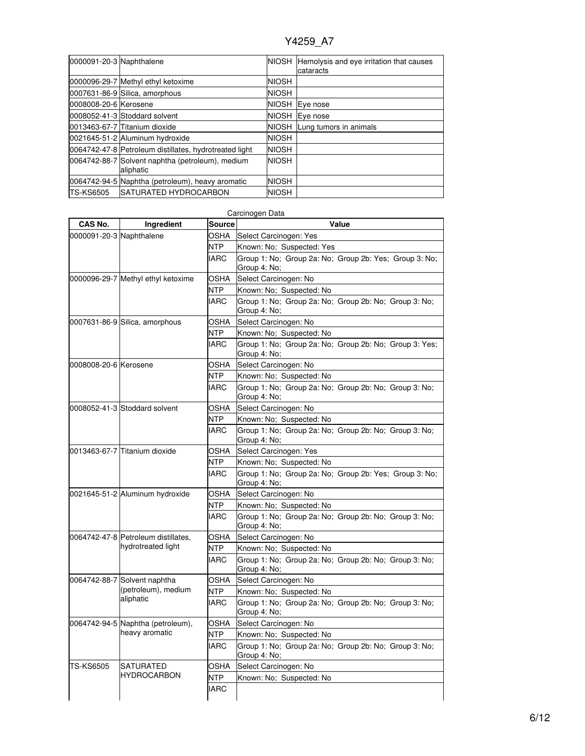| 0000091-20-3 Naphthalene |                                                               |              | NIOSH Hemolysis and eye irritation that causes<br>cataracts |
|--------------------------|---------------------------------------------------------------|--------------|-------------------------------------------------------------|
|                          | 0000096-29-7 Methyl ethyl ketoxime                            | <b>NIOSH</b> |                                                             |
|                          | 0007631-86-9 Silica, amorphous                                | <b>NIOSH</b> |                                                             |
| 0008008-20-6 Kerosene    |                                                               | <b>NIOSH</b> | Eye nose                                                    |
|                          | 0008052-41-3 Stoddard solvent                                 | <b>NIOSH</b> | Eye nose                                                    |
|                          | 0013463-67-7 Titanium dioxide                                 |              | NIOSH Lung tumors in animals                                |
|                          | 0021645-51-2 Aluminum hydroxide                               | <b>NIOSH</b> |                                                             |
|                          | 0064742-47-8 Petroleum distillates, hydrotreated light        | <b>NIOSH</b> |                                                             |
|                          | 0064742-88-7 Solvent naphtha (petroleum), medium<br>aliphatic | <b>NIOSH</b> |                                                             |
|                          | 0064742-94-5 Naphtha (petroleum), heavy aromatic              | <b>NIOSH</b> |                                                             |
| <b>TS-KS6505</b>         | <b>ISATURATED HYDROCARBON</b>                                 | <b>NIOSH</b> |                                                             |

| CAS No.                  | Ingredient                           | <b>Source</b> | Carcinogen Data<br>Value                                               |  |  |  |
|--------------------------|--------------------------------------|---------------|------------------------------------------------------------------------|--|--|--|
| 0000091-20-3 Naphthalene |                                      | OSHA          | Select Carcinogen: Yes                                                 |  |  |  |
|                          |                                      | NTP           | Known: No; Suspected: Yes                                              |  |  |  |
|                          |                                      | <b>IARC</b>   | Group 1: No; Group 2a: No; Group 2b: Yes; Group 3: No;<br>Group 4: No; |  |  |  |
|                          | 0000096-29-7 Methyl ethyl ketoxime   | OSHA          | Select Carcinogen: No                                                  |  |  |  |
|                          |                                      | NTP           | Known: No; Suspected: No                                               |  |  |  |
|                          |                                      | IARC          | Group 1: No; Group 2a: No; Group 2b: No; Group 3: No;<br>Group 4: No:  |  |  |  |
|                          | 0007631-86-9 Silica, amorphous       | OSHA          | Select Carcinogen: No                                                  |  |  |  |
|                          |                                      | NTP           | Known: No; Suspected: No                                               |  |  |  |
|                          |                                      | <b>IARC</b>   | Group 1: No; Group 2a: No; Group 2b: No; Group 3: Yes;<br>Group 4: No; |  |  |  |
| 0008008-20-6 Kerosene    |                                      | OSHA          | Select Carcinogen: No                                                  |  |  |  |
|                          |                                      | <b>NTP</b>    | Known: No; Suspected: No                                               |  |  |  |
|                          |                                      | <b>IARC</b>   | Group 1: No: Group 2a: No: Group 2b: No: Group 3: No:<br>Group 4: No;  |  |  |  |
|                          | 0008052-41-3 Stoddard solvent        | OSHA          | Select Carcinogen: No                                                  |  |  |  |
|                          |                                      | NTP           | Known: No; Suspected: No                                               |  |  |  |
|                          |                                      | <b>IARC</b>   | Group 1: No; Group 2a: No; Group 2b: No; Group 3: No;<br>Group 4: No;  |  |  |  |
|                          | 0013463-67-7 Titanium dioxide        | OSHA          | Select Carcinogen: Yes                                                 |  |  |  |
|                          |                                      | NTP.          | Known: No; Suspected: No                                               |  |  |  |
|                          |                                      | <b>IARC</b>   | Group 1: No; Group 2a: No; Group 2b: Yes; Group 3: No;<br>Group 4: No; |  |  |  |
|                          | 0021645-51-2 Aluminum hydroxide      | OSHA          | Select Carcinogen: No                                                  |  |  |  |
|                          |                                      | NTP           | Known: No; Suspected: No                                               |  |  |  |
|                          |                                      | <b>IARC</b>   | Group 1: No; Group 2a: No; Group 2b: No; Group 3: No;<br>Group 4: No;  |  |  |  |
|                          | 0064742-47-8  Petroleum distillates, | OSHA          | Select Carcinogen: No                                                  |  |  |  |
|                          | hydrotreated light                   | <b>NTP</b>    | Known: No: Suspected: No                                               |  |  |  |
|                          |                                      | <b>IARC</b>   | Group 1: No; Group 2a: No; Group 2b: No; Group 3: No;<br>Group 4: No:  |  |  |  |
|                          | 0064742-88-7 Solvent naphtha         | OSHA          | Select Carcinogen: No                                                  |  |  |  |
|                          | (petroleum), medium                  | <b>NTP</b>    | Known: No; Suspected: No                                               |  |  |  |
|                          | aliphatic                            | <b>IARC</b>   | Group 1: No: Group 2a: No: Group 2b: No: Group 3: No:<br>Group 4: No;  |  |  |  |
|                          | 0064742-94-5 Naphtha (petroleum),    | OSHA          | Select Carcinogen: No                                                  |  |  |  |
|                          | heavy aromatic                       | NTP           | Known: No; Suspected: No                                               |  |  |  |
|                          |                                      | IARC          | Group 1: No; Group 2a: No; Group 2b: No; Group 3: No;<br>Group 4: No;  |  |  |  |
| <b>TS-KS6505</b>         | <b>SATURATED</b>                     | OSHA          | Select Carcinogen: No                                                  |  |  |  |
|                          | <b>HYDROCARBON</b>                   | <b>NTP</b>    | Known: No; Suspected: No                                               |  |  |  |
|                          |                                      | <b>IARC</b>   |                                                                        |  |  |  |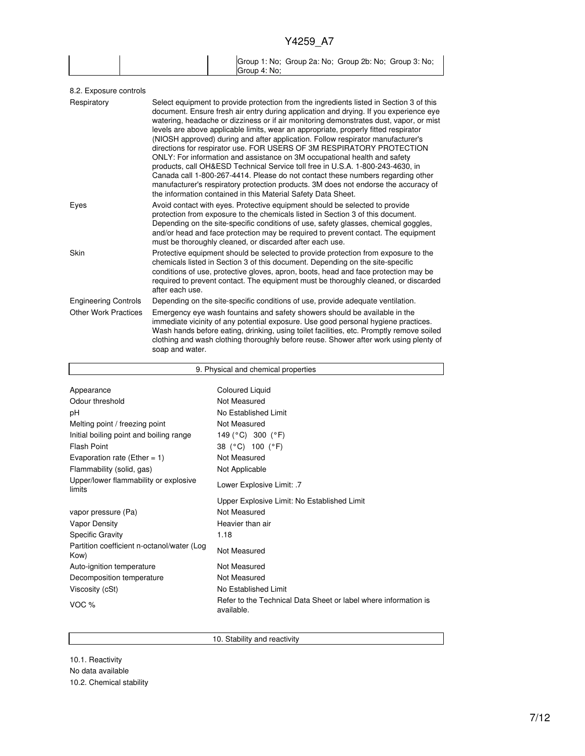|  |              | Group 1: No; Group 2a: No; Group 2b: No; Group 3: No; |  |
|--|--------------|-------------------------------------------------------|--|
|  | Group 4: No: |                                                       |  |

| Select equipment to provide protection from the ingredients listed in Section 3 of this<br>document. Ensure fresh air entry during application and drying. If you experience eye<br>watering, headache or dizziness or if air monitoring demonstrates dust, vapor, or mist<br>levels are above applicable limits, wear an appropriate, properly fitted respirator<br>(NIOSH approved) during and after application. Follow respirator manufacturer's<br>directions for respirator use. FOR USERS OF 3M RESPIRATORY PROTECTION<br>ONLY: For information and assistance on 3M occupational health and safety<br>products, call OH&ESD Technical Service toll free in U.S.A. 1-800-243-4630, in<br>Canada call 1-800-267-4414. Please do not contact these numbers regarding other<br>manufacturer's respiratory protection products. 3M does not endorse the accuracy of<br>the information contained in this Material Safety Data Sheet. |
|-----------------------------------------------------------------------------------------------------------------------------------------------------------------------------------------------------------------------------------------------------------------------------------------------------------------------------------------------------------------------------------------------------------------------------------------------------------------------------------------------------------------------------------------------------------------------------------------------------------------------------------------------------------------------------------------------------------------------------------------------------------------------------------------------------------------------------------------------------------------------------------------------------------------------------------------|
| Avoid contact with eyes. Protective equipment should be selected to provide<br>protection from exposure to the chemicals listed in Section 3 of this document.<br>Depending on the site-specific conditions of use, safety glasses, chemical goggles,<br>and/or head and face protection may be required to prevent contact. The equipment<br>must be thoroughly cleaned, or discarded after each use.                                                                                                                                                                                                                                                                                                                                                                                                                                                                                                                                  |
| Protective equipment should be selected to provide protection from exposure to the<br>chemicals listed in Section 3 of this document. Depending on the site-specific<br>conditions of use, protective gloves, apron, boots, head and face protection may be<br>required to prevent contact. The equipment must be thoroughly cleaned, or discarded<br>after each use.                                                                                                                                                                                                                                                                                                                                                                                                                                                                                                                                                                   |
| Depending on the site-specific conditions of use, provide adequate ventilation.                                                                                                                                                                                                                                                                                                                                                                                                                                                                                                                                                                                                                                                                                                                                                                                                                                                         |
| Emergency eye wash fountains and safety showers should be available in the<br>immediate vicinity of any potential exposure. Use good personal hygiene practices.<br>Wash hands before eating, drinking, using toilet facilities, etc. Promptly remove soiled<br>clothing and wash clothing thoroughly before reuse. Shower after work using plenty of<br>soap and water.                                                                                                                                                                                                                                                                                                                                                                                                                                                                                                                                                                |
|                                                                                                                                                                                                                                                                                                                                                                                                                                                                                                                                                                                                                                                                                                                                                                                                                                                                                                                                         |

| 9. Physical and chemical properties                |                                                                               |  |  |
|----------------------------------------------------|-------------------------------------------------------------------------------|--|--|
|                                                    |                                                                               |  |  |
| Appearance                                         | <b>Coloured Liquid</b>                                                        |  |  |
| Odour threshold                                    | Not Measured                                                                  |  |  |
| рH                                                 | No Established Limit                                                          |  |  |
| Melting point / freezing point                     | Not Measured                                                                  |  |  |
| Initial boiling point and boiling range            | 149 (°C) 300 (°F)                                                             |  |  |
| <b>Flash Point</b>                                 | 38 (°C) 100 (°F)                                                              |  |  |
| Evaporation rate (Ether = 1)                       | Not Measured                                                                  |  |  |
| Flammability (solid, gas)                          | Not Applicable                                                                |  |  |
| Upper/lower flammability or explosive<br>limits    | Lower Explosive Limit: .7                                                     |  |  |
|                                                    | Upper Explosive Limit: No Established Limit                                   |  |  |
| vapor pressure (Pa)                                | Not Measured                                                                  |  |  |
| <b>Vapor Density</b>                               | Heavier than air                                                              |  |  |
| <b>Specific Gravity</b>                            | 1.18                                                                          |  |  |
| Partition coefficient n-octanol/water (Log<br>Kow) | Not Measured                                                                  |  |  |
| Auto-ignition temperature                          | Not Measured                                                                  |  |  |
| Decomposition temperature                          | Not Measured                                                                  |  |  |
| Viscosity (cSt)                                    | No Established Limit                                                          |  |  |
| VOC $%$                                            | Refer to the Technical Data Sheet or label where information is<br>available. |  |  |

10. Stability and reactivity

10.1. Reactivity No data available 10.2. Chemical stability

Г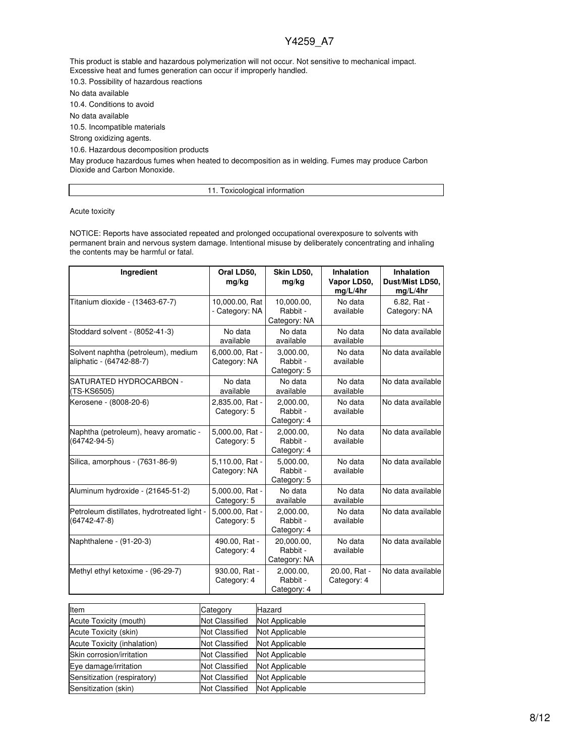This product is stable and hazardous polymerization will not occur. Not sensitive to mechanical impact. Excessive heat and fumes generation can occur if improperly handled.

10.3. Possibility of hazardous reactions

No data available

10.4. Conditions to avoid

No data available

10.5. Incompatible materials

Strong oxidizing agents.

10.6. Hazardous decomposition products

May produce hazardous fumes when heated to decomposition as in welding. Fumes may produce Carbon Dioxide and Carbon Monoxide.

11. Toxicological information

Acute toxicity

NOTICE: Reports have associated repeated and prolonged occupational overexposure to solvents with permanent brain and nervous system damage. Intentional misuse by deliberately concentrating and inhaling the contents may be harmful or fatal.

| Ingredient                                                        | Oral LD50,<br>mg/kg              | Skin LD50,<br>mg/kg                    | <b>Inhalation</b><br>Vapor LD50,<br>mg/L/4hr | Inhalation<br>Dust/Mist LD50,<br>mg/L/4hr |
|-------------------------------------------------------------------|----------------------------------|----------------------------------------|----------------------------------------------|-------------------------------------------|
| Titanium dioxide - (13463-67-7)                                   | 10,000.00, Rat<br>- Category: NA | 10,000.00,<br>Rabbit -<br>Category: NA | No data<br>available                         | 6.82, Rat -<br>Category: NA               |
| Stoddard solvent - (8052-41-3)                                    | No data<br>available             | No data<br>available                   | No data<br>available                         | No data available                         |
| Solvent naphtha (petroleum), medium<br>aliphatic - (64742-88-7)   | 6,000.00, Rat -<br>Category: NA  | 3,000.00,<br>Rabbit -<br>Category: 5   | No data<br>available                         | No data available                         |
| SATURATED HYDROCARBON -<br>(TS-KS6505)                            | No data<br>available             | No data<br>available                   | No data<br>available                         | No data available                         |
| Kerosene - (8008-20-6)                                            | 2,835.00, Rat -<br>Category: 5   | 2.000.00.<br>Rabbit -<br>Category: 4   | No data<br>available                         | No data available                         |
| Naphtha (petroleum), heavy aromatic -<br>$(64742 - 94 - 5)$       | 5,000.00, Rat -<br>Category: 5   | 2,000.00,<br>Rabbit -<br>Category: 4   | No data<br>available                         | No data available                         |
| Silica, amorphous - (7631-86-9)                                   | 5,110.00, Rat -<br>Category: NA  | 5,000.00,<br>Rabbit -<br>Category: 5   | No data<br>available                         | No data available                         |
| Aluminum hydroxide - (21645-51-2)                                 | 5,000.00, Rat -<br>Category: 5   | No data<br>available                   | No data<br>available                         | No data available                         |
| Petroleum distillates, hydrotreated light -<br>$(64742 - 47 - 8)$ | 5,000.00, Rat -<br>Category: 5   | 2,000.00,<br>Rabbit -<br>Category: 4   | No data<br>available                         | No data available                         |
| Naphthalene - (91-20-3)                                           | 490.00, Rat -<br>Category: 4     | 20,000.00,<br>Rabbit -<br>Category: NA | No data<br>available                         | No data available                         |
| Methyl ethyl ketoxime - (96-29-7)                                 | 930.00, Rat -<br>Category: 4     | 2,000.00,<br>Rabbit -<br>Category: 4   | 20.00, Rat -<br>Category: 4                  | No data available                         |

| Item                        | Category              | Hazard         |
|-----------------------------|-----------------------|----------------|
| Acute Toxicity (mouth)      | <b>Not Classified</b> | Not Applicable |
| Acute Toxicity (skin)       | <b>Not Classified</b> | Not Applicable |
| Acute Toxicity (inhalation) | <b>Not Classified</b> | Not Applicable |
| Skin corrosion/irritation   | <b>Not Classified</b> | Not Applicable |
| Eye damage/irritation       | <b>Not Classified</b> | Not Applicable |
| Sensitization (respiratory) | <b>Not Classified</b> | Not Applicable |
| Sensitization (skin)        | <b>Not Classified</b> | Not Applicable |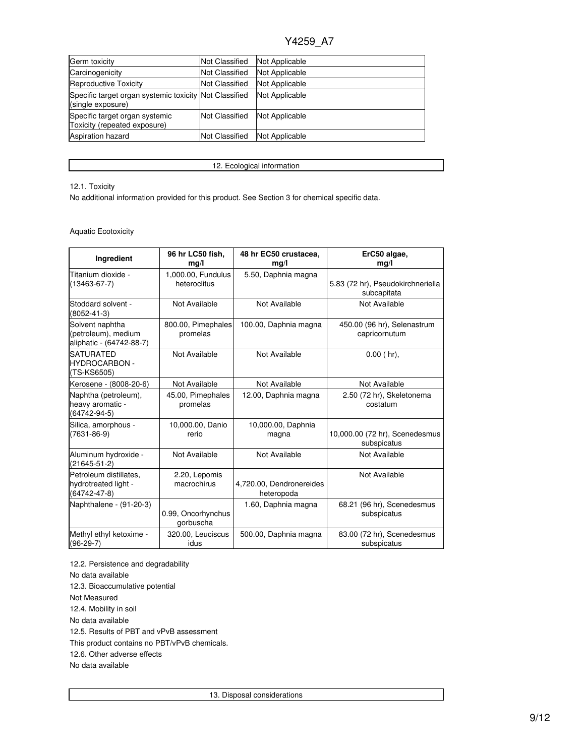| Germ toxicity                                                               | <b>Not Classified</b> | Not Applicable |
|-----------------------------------------------------------------------------|-----------------------|----------------|
| Carcinogenicity                                                             | <b>Not Classified</b> | Not Applicable |
| Reproductive Toxicity                                                       | <b>Not Classified</b> | Not Applicable |
| Specific target organ systemic toxicity Not Classified<br>(single exposure) |                       | Not Applicable |
| Specific target organ systemic<br>Toxicity (repeated exposure)              | <b>Not Classified</b> | Not Applicable |
| <b>Aspiration hazard</b>                                                    | <b>Not Classified</b> | Not Applicable |

12. Ecological information

### 12.1. Toxicity

No additional information provided for this product. See Section 3 for chemical specific data.

## Aquatic Ecotoxicity

| Ingredient                                                         | 96 hr LC50 fish,<br>mq/l           | 48 hr EC50 crustacea,<br>mg/l          | ErC50 algae,<br>mg/l                             |
|--------------------------------------------------------------------|------------------------------------|----------------------------------------|--------------------------------------------------|
| Titanium dioxide -<br>$(13463 - 67 - 7)$                           | 1,000.00, Fundulus<br>heteroclitus | 5.50, Daphnia magna                    | 5.83 (72 hr), Pseudokirchneriella<br>subcapitata |
| Stoddard solvent -<br>$(8052 - 41 - 3)$                            | Not Available                      | Not Available                          | Not Available                                    |
| Solvent naphtha<br>(petroleum), medium<br>aliphatic - (64742-88-7) | 800.00, Pimephales<br>promelas     | 100.00, Daphnia magna                  | 450.00 (96 hr), Selenastrum<br>capricornutum     |
| <b>SATURATED</b><br><b>HYDROCARBON -</b><br>(TS-KS6505)            | Not Available                      | Not Available                          | $0.00$ (hr).                                     |
| Kerosene - (8008-20-6)                                             | Not Available                      | Not Available                          | Not Available                                    |
| Naphtha (petroleum),<br>heavy aromatic -<br>$(64742 - 94 - 5)$     | 45.00, Pimephales<br>promelas      | 12.00, Daphnia magna                   | 2.50 (72 hr), Skeletonema<br>costatum            |
| Silica, amorphous -<br>$(7631 - 86 - 9)$                           | 10,000.00, Danio<br>rerio          | 10,000.00, Daphnia<br>magna            | 10,000.00 (72 hr), Scenedesmus<br>subspicatus    |
| Aluminum hydroxide -<br>$(21645 - 51 - 2)$                         | Not Available                      | Not Available                          | Not Available                                    |
| Petroleum distillates,<br>hydrotreated light -<br>(64742-47-8)     | 2.20, Lepomis<br>macrochirus       | 4,720.00, Dendronereides<br>heteropoda | Not Available                                    |
| Naphthalene - (91-20-3)                                            | 0.99, Oncorhynchus<br>gorbuscha    | 1.60, Daphnia magna                    | 68.21 (96 hr), Scenedesmus<br>subspicatus        |
| Methyl ethyl ketoxime -<br>$(96-29-7)$                             | 320.00, Leuciscus<br>idus          | 500.00, Daphnia magna                  | 83.00 (72 hr), Scenedesmus<br>subspicatus        |

12.2. Persistence and degradability No data available 12.3. Bioaccumulative potential Not Measured 12.4. Mobility in soil No data available 12.5. Results of PBT and vPvB assessment This product contains no PBT/vPvB chemicals. 12.6. Other adverse effects No data available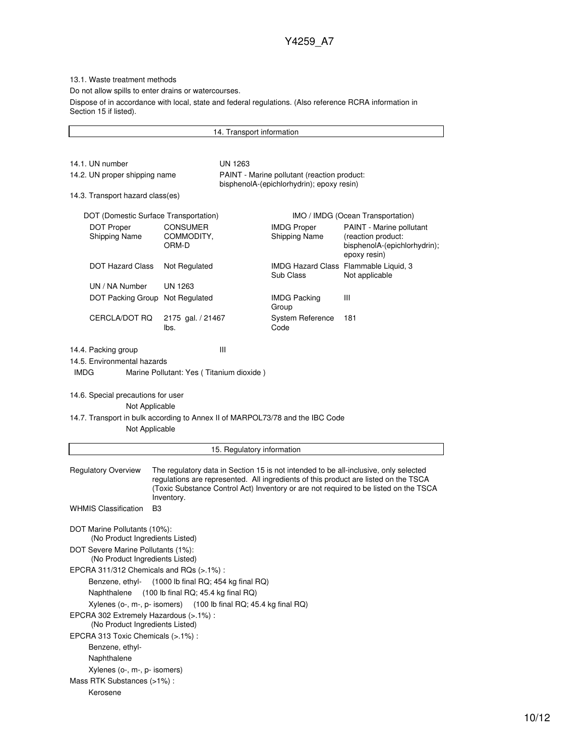13.1. Waste treatment methods

Do not allow spills to enter drains or watercourses.

Dispose of in accordance with local, state and federal regulations. (Also reference RCRA information in Section 15 if listed).

14. Transport information 14.1. UN number UN 1263 14.2. UN proper shipping name PAINT - Marine pollutant (reaction product: bisphenolA-(epichlorhydrin); epoxy resin) 14.3. Transport hazard class(es) DOT (Domestic Surface Transportation) IMO / IMDG (Ocean Transportation) DOT Proper Shipping Name CONSUMER COMMODITY, ORM-D IMDG Proper Shipping Name PAINT - Marine pollutant (reaction product: bisphenolA-(epichlorhydrin); epoxy resin) DOT Hazard Class Not Regulated IMDG Hazard Class Flammable Liquid, 3 Sub Class Not applicable UN / NA Number UN 1263 DOT Packing Group Not Regulated IMDG Packing Group III CERCLA/DOT RQ 2175 gal. / 21467 lbs. System Reference Code 181 14.4. Packing group III 14.5. Environmental hazards IMDG Marine Pollutant: Yes ( Titanium dioxide ) 14.6. Special precautions for user Not Applicable 14.7. Transport in bulk according to Annex II of MARPOL73/78 and the IBC Code Not Applicable 15. Regulatory information Regulatory Overview The regulatory data in Section 15 is not intended to be all-inclusive, only selected regulations are represented. All ingredients of this product are listed on the TSCA (Toxic Substance Control Act) Inventory or are not required to be listed on the TSCA Inventory. WHMIS Classification B3 DOT Marine Pollutants (10%): (No Product Ingredients Listed) DOT Severe Marine Pollutants (1%): (No Product Ingredients Listed) EPCRA 311/312 Chemicals and RQs (>.1%) : Benzene, ethyl- (1000 lb final RQ; 454 kg final RQ) Naphthalene (100 lb final RQ; 45.4 kg final RQ) Xylenes (o-, m-, p- isomers) (100 lb final RQ; 45.4 kg final RQ) EPCRA 302 Extremely Hazardous (>.1%) : (No Product Ingredients Listed) EPCRA 313 Toxic Chemicals (>.1%) : Benzene, ethyl-Naphthalene Xylenes (o-, m-, p- isomers) Mass RTK Substances (>1%) : Kerosene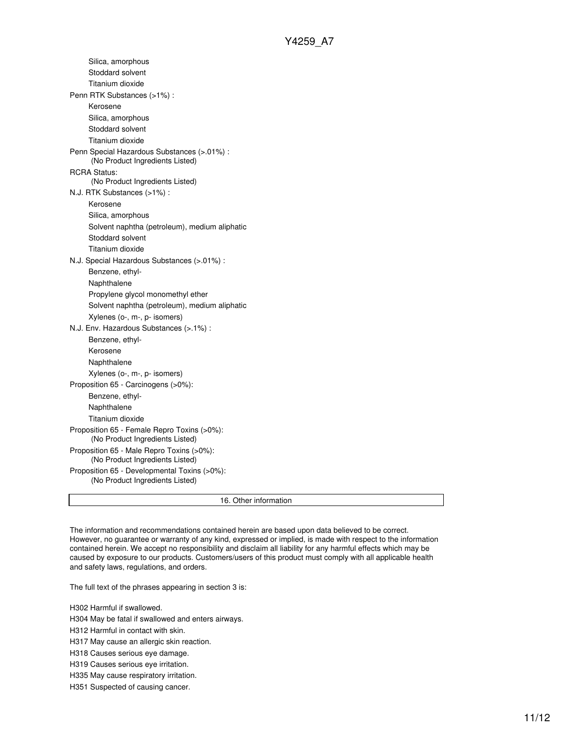| Proposition 65 - Developmental Toxins (>0%):                                   |  |
|--------------------------------------------------------------------------------|--|
| Proposition 65 - Male Repro Toxins (>0%):<br>(No Product Ingredients Listed)   |  |
| Proposition 65 - Female Repro Toxins (>0%):<br>(No Product Ingredients Listed) |  |
| Titanium dioxide                                                               |  |
| Naphthalene                                                                    |  |
| Benzene, ethyl-                                                                |  |
| Proposition 65 - Carcinogens (>0%):                                            |  |
| Xylenes (o-, m-, p- isomers)                                                   |  |
| Naphthalene                                                                    |  |
| Kerosene                                                                       |  |
| Benzene, ethyl-                                                                |  |
| N.J. Env. Hazardous Substances (>.1%) :                                        |  |
| Xylenes (o-, m-, p- isomers)                                                   |  |
| Solvent naphtha (petroleum), medium aliphatic                                  |  |
| Propylene glycol monomethyl ether                                              |  |
| Naphthalene                                                                    |  |
| Benzene, ethyl-                                                                |  |
| N.J. Special Hazardous Substances (>.01%) :                                    |  |
| Titanium dioxide                                                               |  |
| Stoddard solvent                                                               |  |
| Solvent naphtha (petroleum), medium aliphatic                                  |  |
| Silica, amorphous                                                              |  |
| Kerosene                                                                       |  |
| N.J. RTK Substances (>1%):                                                     |  |
| (No Product Ingredients Listed)                                                |  |
| <b>RCRA Status:</b>                                                            |  |
| Penn Special Hazardous Substances (>.01%) :<br>(No Product Ingredients Listed) |  |
| Titanium dioxide                                                               |  |
| Stoddard solvent                                                               |  |
| Silica, amorphous                                                              |  |
| Kerosene                                                                       |  |
| Penn RTK Substances (>1%) :                                                    |  |
| Titanium dioxide                                                               |  |
|                                                                                |  |
| Silica, amorphous<br>Stoddard solvent                                          |  |

The information and recommendations contained herein are based upon data believed to be correct. However, no guarantee or warranty of any kind, expressed or implied, is made with respect to the information contained herein. We accept no responsibility and disclaim all liability for any harmful effects which may be caused by exposure to our products. Customers/users of this product must comply with all applicable health and safety laws, regulations, and orders.

The full text of the phrases appearing in section 3 is:

H302 Harmful if swallowed.

H304 May be fatal if swallowed and enters airways.

H312 Harmful in contact with skin.

H317 May cause an allergic skin reaction.

H318 Causes serious eye damage.

H319 Causes serious eye irritation.

H335 May cause respiratory irritation.

H351 Suspected of causing cancer.